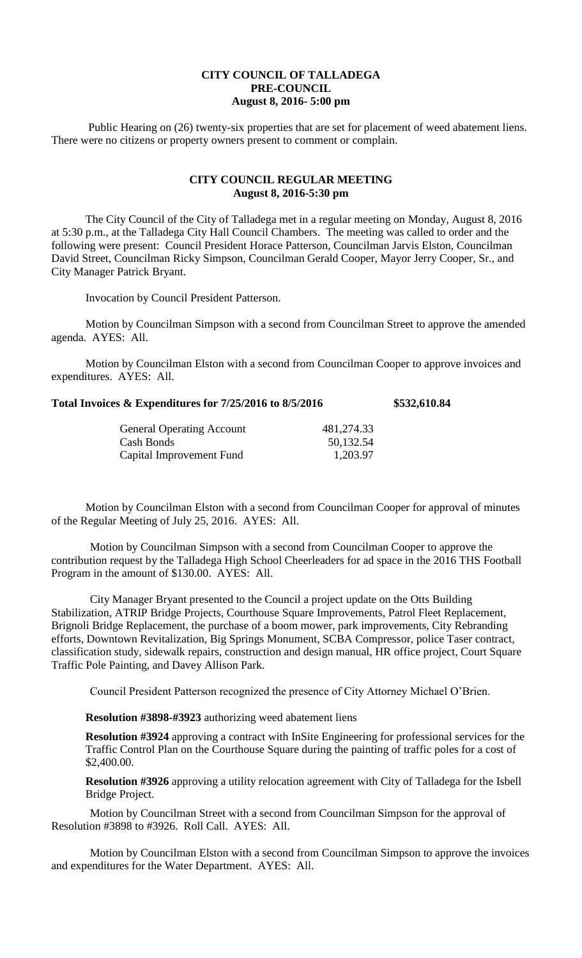## **CITY COUNCIL OF TALLADEGA PRE-COUNCIL August 8, 2016- 5:00 pm**

Public Hearing on (26) twenty-six properties that are set for placement of weed abatement liens. There were no citizens or property owners present to comment or complain.

## **CITY COUNCIL REGULAR MEETING August 8, 2016-5:30 pm**

The City Council of the City of Talladega met in a regular meeting on Monday, August 8, 2016 at 5:30 p.m., at the Talladega City Hall Council Chambers. The meeting was called to order and the following were present: Council President Horace Patterson, Councilman Jarvis Elston, Councilman David Street, Councilman Ricky Simpson, Councilman Gerald Cooper, Mayor Jerry Cooper, Sr., and City Manager Patrick Bryant.

Invocation by Council President Patterson.

Motion by Councilman Simpson with a second from Councilman Street to approve the amended agenda. AYES: All.

Motion by Councilman Elston with a second from Councilman Cooper to approve invoices and expenditures. AYES: All.

| Total Invoices & Expenditures for 7/25/2016 to 8/5/2016 | \$532,610.84 |
|---------------------------------------------------------|--------------|
|---------------------------------------------------------|--------------|

| <b>General Operating Account</b> | 481,274.33 |
|----------------------------------|------------|
| Cash Bonds                       | 50,132.54  |
| Capital Improvement Fund         | 1,203.97   |

Motion by Councilman Elston with a second from Councilman Cooper for approval of minutes of the Regular Meeting of July 25, 2016. AYES: All.

Motion by Councilman Simpson with a second from Councilman Cooper to approve the contribution request by the Talladega High School Cheerleaders for ad space in the 2016 THS Football Program in the amount of \$130.00. AYES: All.

City Manager Bryant presented to the Council a project update on the Otts Building Stabilization, ATRIP Bridge Projects, Courthouse Square Improvements, Patrol Fleet Replacement, Brignoli Bridge Replacement, the purchase of a boom mower, park improvements, City Rebranding efforts, Downtown Revitalization, Big Springs Monument, SCBA Compressor, police Taser contract, classification study, sidewalk repairs, construction and design manual, HR office project, Court Square Traffic Pole Painting, and Davey Allison Park.

Council President Patterson recognized the presence of City Attorney Michael O'Brien.

**Resolution #3898-#3923** authorizing weed abatement liens

**Resolution #3924** approving a contract with InSite Engineering for professional services for the Traffic Control Plan on the Courthouse Square during the painting of traffic poles for a cost of \$2,400.00.

**Resolution #3926** approving a utility relocation agreement with City of Talladega for the Isbell Bridge Project.

Motion by Councilman Street with a second from Councilman Simpson for the approval of Resolution #3898 to #3926. Roll Call. AYES: All.

Motion by Councilman Elston with a second from Councilman Simpson to approve the invoices and expenditures for the Water Department. AYES: All.